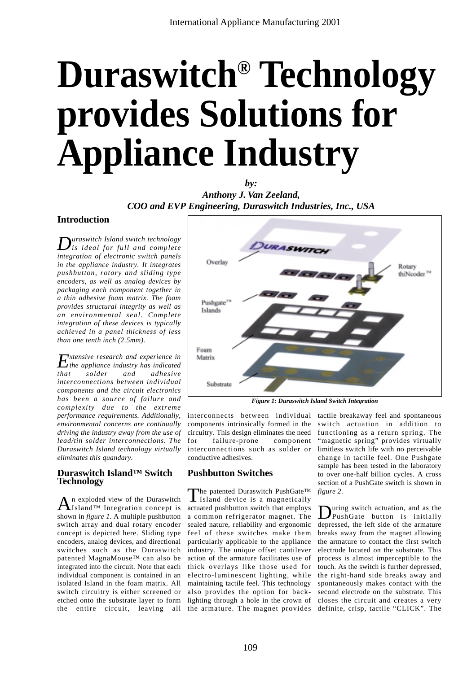# **Duraswitch® Technology provides Solutions for Appliance Industry**

*by:* 

*Anthony J. Van Zeeland, COO and EVP Engineering, Duraswitch Industries, Inc., USA*

#### **Introduction**

*Duraswitch Island switch technology is ideal for full and complete integration of electronic switch panels in the appliance industry. It integrates pushbutton, rotary and sliding type encoders, as well as analog devices by packaging each component together in a thin adhesive foam matrix. The foam provides structural integrity as well as an environmental seal. Complete integration of these devices is typically achieved in a panel thickness of less than one tenth inch (2.5mm).*

*Extensive research and experience in the appliance industry has indicated that solder and adhesive interconnections between individual components and the circuit electronics has been a source of failure and complexity due to the extreme performance requirements. Additionally, environmental concerns are continually driving the industry away from the use of lead/tin solder interconnections. The Duraswitch Island technology virtually eliminates this quandary.* 

#### **Duraswitch Island™ Switch Technology**

 $A$ <sup>n</sup> exploded view of the Duraswitch<br>Island™ Integration concept is shown in *figure 1*. A multiple pushbutton switch array and dual rotary encoder concept is depicted here. Sliding type encoders, analog devices, and directional switches such as the Duraswitch patented MagnaMouse™ can also be integrated into the circuit. Note that each individual component is contained in an isolated Island in the foam matrix. All switch circuitry is either screened or etched onto the substrate layer to form the entire circuit, leaving all the armature. The magnet provides definite, crisp, tactile "CLICK". The



*Figure 1: Duraswitch Island Switch Integration*

components intrinsically formed in the switch actuation in addition to circuitry. This design eliminates the need for failure-prone component interconnections such as solder or conductive adhesives.

# **Pushbutton Switches**

The patented Duraswitch PushGate™<br>Island device is a magnetically actuated pushbutton switch that employs a common refrigerator magnet. The sealed nature, reliability and ergonomic feel of these switches make them particularly applicable to the appliance industry. The unique offset cantilever action of the armature facilitates use of thick overlays like those used for electro-luminescent lighting, while maintaining tactile feel. This technology also provides the option for backlighting through a hole in the crown of

interconnects between individual tactile breakaway feel and spontaneous functioning as a return spring. The "magnetic spring" provides virtually limitless switch life with no perceivable change in tactile feel. One Pushgate sample has been tested in the laboratory to over one-half billion cycles. A cross section of a PushGate switch is shown in *figure 2*.

> **D**uring switch actuation, and as the<br>PushGate button is initially depressed, the left side of the armature breaks away from the magnet allowing the armature to contact the first switch electrode located on the substrate. This process is almost imperceptible to the touch. As the switch is further depressed, the right-hand side breaks away and spontaneously makes contact with the second electrode on the substrate. This closes the circuit and creates a very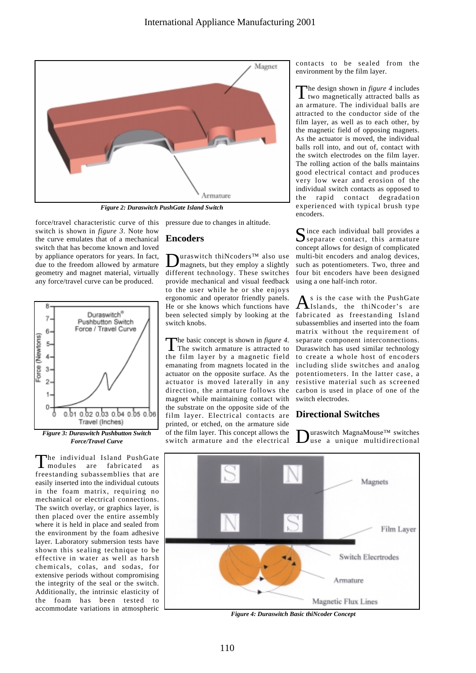

*Figure 2: Duraswitch PushGate Island Switch*

force/travel characteristic curve of this switch is shown in *figure 3*. Note how the curve emulates that of a mechanical switch that has become known and loved by appliance operators for years. In fact, due to the freedom allowed by armature geometry and magnet material, virtually any force/travel curve can be produced.



The individual Island PushGate<br>modules are fabricated as  $l$  modules are fabricated freestanding subassemblies that are easily inserted into the individual cutouts in the foam matrix, requiring no mechanical or electrical connections. The switch overlay, or graphics layer, is then placed over the entire assembly where it is held in place and sealed from the environment by the foam adhesive layer. Laboratory submersion tests have shown this sealing technique to be effective in water as well as harsh chemicals, colas, and sodas, for extensive periods without compromising the integrity of the seal or the switch. Additionally, the intrinsic elasticity of the foam has been tested to accommodate variations in atmospheric

pressure due to changes in altitude.

### **Encoders**

**D**uraswitch thiNcoders™ also use<br>magnets, but they employ a slightly different technology. These switches provide mechanical and visual feedback to the user while he or she enjoys ergonomic and operator friendly panels. He or she knows which functions have been selected simply by looking at the switch knobs.

The basic concept is shown in *figure 4*.<br>The switch armature is attracted to the film layer by a magnetic field emanating from magnets located in the actuator on the opposite surface. As the actuator is moved laterally in any direction, the armature follows the magnet while maintaining contact with the substrate on the opposite side of the film layer. Electrical contacts are printed, or etched, on the armature side of the film layer. This concept allows the switch armature and the electrical contacts to be sealed from the environment by the film layer.

The design shown in *figure 4* includes  $\bf{l}$  two magnetically attracted balls as an armature. The individual balls are attracted to the conductor side of the film layer, as well as to each other, by the magnetic field of opposing magnets. As the actuator is moved, the individual balls roll into, and out of, contact with the switch electrodes on the film layer. The rolling action of the balls maintains good electrical contact and produces very low wear and erosion of the individual switch contacts as opposed to the rapid contact degradation experienced with typical brush type encoders.

Since each individual ball provides a<br>Separate contact, this armature concept allows for design of complicated multi-bit encoders and analog devices, such as potentiometers. Two, three and four bit encoders have been designed using a one half-inch rotor.

As is the case with the PushGate fabricated as freestanding Island subassemblies and inserted into the foam matrix without the requirement of separate component interconnections. Duraswitch has used similar technology to create a whole host of encoders including slide switches and analog potentiometers. In the latter case, a resistive material such as screened carbon is used in place of one of the switch electrodes.

# **Directional Switches**

uraswitch MagnaMouse™ switches use a unique multidirectional



*Figure 4: Duraswitch Basic thiNcoder Concept*